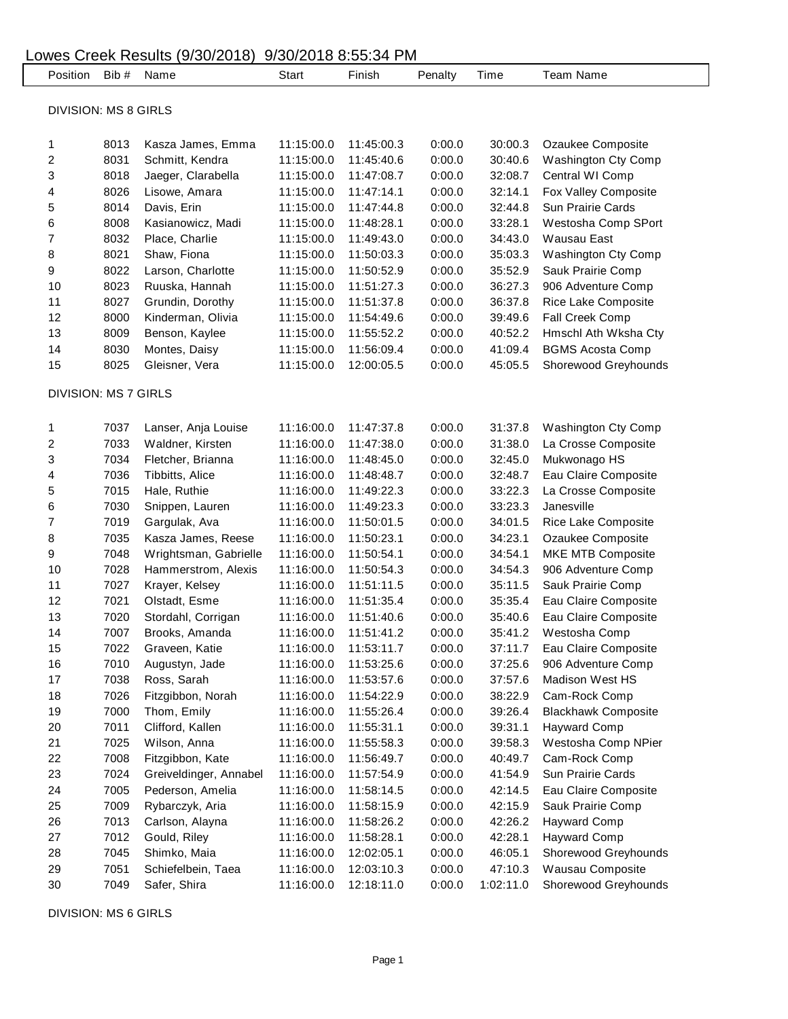| 9/30/2018 8:55:34 PM<br>Lowes Creek Results (9/30/2018) |                             |       |                        |            |            |         |           |                            |  |  |  |  |  |
|---------------------------------------------------------|-----------------------------|-------|------------------------|------------|------------|---------|-----------|----------------------------|--|--|--|--|--|
|                                                         | Position                    | Bib # | Name                   | Start      | Finish     | Penalty | Time      | <b>Team Name</b>           |  |  |  |  |  |
|                                                         |                             |       |                        |            |            |         |           |                            |  |  |  |  |  |
|                                                         | <b>DIVISION: MS 8 GIRLS</b> |       |                        |            |            |         |           |                            |  |  |  |  |  |
|                                                         | 1                           | 8013  | Kasza James, Emma      | 11:15:00.0 | 11:45:00.3 | 0:00.0  | 30:00.3   | Ozaukee Composite          |  |  |  |  |  |
|                                                         | 2                           | 8031  | Schmitt, Kendra        | 11:15:00.0 | 11:45:40.6 | 0:00.0  | 30:40.6   | Washington Cty Comp        |  |  |  |  |  |
|                                                         | 3                           | 8018  | Jaeger, Clarabella     | 11:15:00.0 | 11:47:08.7 | 0:00.0  | 32:08.7   | Central WI Comp            |  |  |  |  |  |
|                                                         | 4                           | 8026  | Lisowe, Amara          | 11:15:00.0 | 11:47:14.1 | 0:00.0  | 32:14.1   | Fox Valley Composite       |  |  |  |  |  |
|                                                         | 5                           | 8014  | Davis, Erin            | 11:15:00.0 | 11:47:44.8 | 0:00.0  | 32:44.8   | Sun Prairie Cards          |  |  |  |  |  |
|                                                         | 6                           | 8008  | Kasianowicz, Madi      | 11:15:00.0 | 11:48:28.1 | 0:00.0  | 33:28.1   | Westosha Comp SPort        |  |  |  |  |  |
|                                                         | 7                           | 8032  | Place, Charlie         | 11:15:00.0 | 11:49:43.0 | 0:00.0  | 34:43.0   | Wausau East                |  |  |  |  |  |
|                                                         | 8                           | 8021  | Shaw, Fiona            | 11:15:00.0 | 11:50:03.3 | 0:00.0  | 35:03.3   | Washington Cty Comp        |  |  |  |  |  |
|                                                         | 9                           | 8022  | Larson, Charlotte      | 11:15:00.0 | 11:50:52.9 | 0:00.0  | 35:52.9   | Sauk Prairie Comp          |  |  |  |  |  |
|                                                         | 10                          | 8023  | Ruuska, Hannah         | 11:15:00.0 | 11:51:27.3 | 0:00.0  | 36:27.3   | 906 Adventure Comp         |  |  |  |  |  |
|                                                         | 11                          | 8027  | Grundin, Dorothy       | 11:15:00.0 | 11:51:37.8 | 0:00.0  | 36:37.8   | Rice Lake Composite        |  |  |  |  |  |
|                                                         | 12                          | 8000  | Kinderman, Olivia      | 11:15:00.0 | 11:54:49.6 | 0:00.0  | 39:49.6   | Fall Creek Comp            |  |  |  |  |  |
|                                                         | 13                          | 8009  | Benson, Kaylee         | 11:15:00.0 | 11:55:52.2 | 0:00.0  | 40:52.2   | Hmschl Ath Wksha Cty       |  |  |  |  |  |
|                                                         | 14                          | 8030  | Montes, Daisy          | 11:15:00.0 | 11:56:09.4 | 0:00.0  | 41:09.4   | <b>BGMS Acosta Comp</b>    |  |  |  |  |  |
|                                                         | 15                          | 8025  | Gleisner, Vera         | 11:15:00.0 | 12:00:05.5 | 0:00.0  | 45:05.5   | Shorewood Greyhounds       |  |  |  |  |  |
|                                                         |                             |       |                        |            |            |         |           |                            |  |  |  |  |  |
|                                                         | <b>DIVISION: MS 7 GIRLS</b> |       |                        |            |            |         |           |                            |  |  |  |  |  |
|                                                         |                             |       |                        |            |            |         |           |                            |  |  |  |  |  |
|                                                         | 1                           | 7037  | Lanser, Anja Louise    | 11:16:00.0 | 11:47:37.8 | 0:00.0  | 31:37.8   | Washington Cty Comp        |  |  |  |  |  |
|                                                         | $\overline{\mathbf{c}}$     | 7033  | Waldner, Kirsten       | 11:16:00.0 | 11:47:38.0 | 0:00.0  | 31:38.0   | La Crosse Composite        |  |  |  |  |  |
|                                                         | 3                           | 7034  | Fletcher, Brianna      | 11:16:00.0 | 11:48:45.0 | 0:00.0  | 32:45.0   | Mukwonago HS               |  |  |  |  |  |
|                                                         | 4                           | 7036  | Tibbitts, Alice        | 11:16:00.0 | 11:48:48.7 | 0:00.0  | 32:48.7   | Eau Claire Composite       |  |  |  |  |  |
|                                                         | 5                           | 7015  | Hale, Ruthie           | 11:16:00.0 | 11:49:22.3 | 0:00.0  | 33:22.3   | La Crosse Composite        |  |  |  |  |  |
|                                                         | 6                           | 7030  | Snippen, Lauren        | 11:16:00.0 | 11:49:23.3 | 0:00.0  | 33:23.3   | Janesville                 |  |  |  |  |  |
|                                                         | 7                           | 7019  | Gargulak, Ava          | 11:16:00.0 | 11:50:01.5 | 0:00.0  | 34:01.5   | Rice Lake Composite        |  |  |  |  |  |
|                                                         | 8                           | 7035  | Kasza James, Reese     | 11:16:00.0 | 11:50:23.1 | 0:00.0  | 34:23.1   | Ozaukee Composite          |  |  |  |  |  |
|                                                         | 9                           | 7048  | Wrightsman, Gabrielle  | 11:16:00.0 | 11:50:54.1 | 0:00.0  | 34:54.1   | MKE MTB Composite          |  |  |  |  |  |
|                                                         | 10                          | 7028  | Hammerstrom, Alexis    | 11:16:00.0 | 11:50:54.3 | 0:00.0  | 34:54.3   | 906 Adventure Comp         |  |  |  |  |  |
|                                                         | 11                          | 7027  | Krayer, Kelsey         | 11:16:00.0 | 11:51:11.5 | 0:00.0  | 35:11.5   | Sauk Prairie Comp          |  |  |  |  |  |
|                                                         | 12                          | 7021  | Olstadt, Esme          | 11:16:00.0 | 11:51:35.4 | 0:00.0  | 35:35.4   | Eau Claire Composite       |  |  |  |  |  |
|                                                         | 13                          | 7020  | Stordahl, Corrigan     | 11:16:00.0 | 11:51:40.6 | 0:00.0  | 35:40.6   | Eau Claire Composite       |  |  |  |  |  |
|                                                         | 14                          | 7007  | Brooks, Amanda         | 11:16:00.0 | 11:51:41.2 | 0:00.0  | 35:41.2   | Westosha Comp              |  |  |  |  |  |
|                                                         | 15                          | 7022  | Graveen, Katie         | 11:16:00.0 | 11:53:11.7 | 0:00.0  | 37:11.7   | Eau Claire Composite       |  |  |  |  |  |
|                                                         | 16                          | 7010  | Augustyn, Jade         | 11:16:00.0 | 11:53:25.6 | 0:00.0  | 37:25.6   | 906 Adventure Comp         |  |  |  |  |  |
|                                                         | 17                          | 7038  | Ross, Sarah            | 11:16:00.0 | 11:53:57.6 | 0:00.0  | 37:57.6   | Madison West HS            |  |  |  |  |  |
|                                                         | 18                          | 7026  | Fitzgibbon, Norah      | 11:16:00.0 | 11:54:22.9 | 0:00.0  | 38:22.9   | Cam-Rock Comp              |  |  |  |  |  |
|                                                         | 19                          | 7000  | Thom, Emily            | 11:16:00.0 | 11:55:26.4 | 0:00.0  | 39:26.4   | <b>Blackhawk Composite</b> |  |  |  |  |  |
|                                                         | 20                          | 7011  | Clifford, Kallen       | 11:16:00.0 | 11:55:31.1 | 0:00.0  | 39:31.1   | <b>Hayward Comp</b>        |  |  |  |  |  |
|                                                         | 21                          | 7025  | Wilson, Anna           | 11:16:00.0 | 11:55:58.3 | 0:00.0  | 39:58.3   | Westosha Comp NPier        |  |  |  |  |  |
|                                                         | 22                          | 7008  | Fitzgibbon, Kate       | 11:16:00.0 | 11:56:49.7 | 0:00.0  | 40:49.7   | Cam-Rock Comp              |  |  |  |  |  |
|                                                         | 23                          | 7024  | Greiveldinger, Annabel | 11:16:00.0 | 11:57:54.9 | 0:00.0  | 41:54.9   | Sun Prairie Cards          |  |  |  |  |  |
|                                                         | 24                          | 7005  | Pederson, Amelia       | 11:16:00.0 | 11:58:14.5 | 0:00.0  | 42:14.5   | Eau Claire Composite       |  |  |  |  |  |
|                                                         | 25                          | 7009  | Rybarczyk, Aria        | 11:16:00.0 | 11:58:15.9 | 0:00.0  | 42:15.9   | Sauk Prairie Comp          |  |  |  |  |  |
|                                                         | 26                          | 7013  | Carlson, Alayna        | 11:16:00.0 | 11:58:26.2 | 0:00.0  | 42:26.2   | <b>Hayward Comp</b>        |  |  |  |  |  |
|                                                         | 27                          | 7012  | Gould, Riley           | 11:16:00.0 | 11:58:28.1 | 0:00.0  | 42:28.1   | <b>Hayward Comp</b>        |  |  |  |  |  |
|                                                         | 28                          | 7045  | Shimko, Maia           | 11:16:00.0 | 12:02:05.1 | 0:00.0  | 46:05.1   | Shorewood Greyhounds       |  |  |  |  |  |
|                                                         | 29                          | 7051  | Schiefelbein, Taea     | 11:16:00.0 | 12:03:10.3 | 0:00.0  | 47:10.3   | Wausau Composite           |  |  |  |  |  |
|                                                         | 30                          | 7049  | Safer, Shira           | 11:16:00.0 | 12:18:11.0 | 0:00.0  | 1:02:11.0 | Shorewood Greyhounds       |  |  |  |  |  |

DIVISION: MS 6 GIRLS